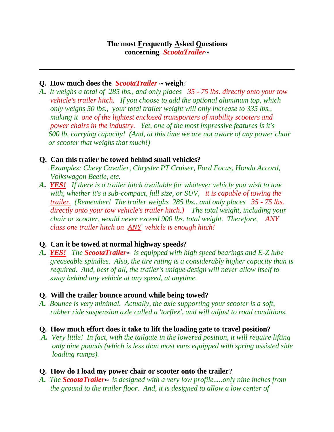#### *Q.* **How much does the** *ScootaTrailer* **™ weigh**?

*A***.** *It weighs a total of 285 lbs., and only places 35 - 75 lbs. directly onto your tow vehicle's trailer hitch. If you choose to add the optional aluminum top, which only weighs 50 lbs., your total trailer weight will only increase to 335 lbs., making it one of the lightest enclosed transporters of mobility scooters and power chairs in the industry. Yet, one of the most impressive features is it's 600 lb. carrying capacity! (And, at this time we are not aware of any power chair or scooter that weighs that much!)*

## **Q. Can this trailer be towed behind small vehicles?**

 *Examples: Chevy Cavalier, Chrysler PT Cruiser, Ford Focus, Honda Accord, Volkswagon Beetle, etc.*

*A***.** *YES! If there is a trailer hitch available for whatever vehicle you wish to tow with, whether it's a sub-compact, full size, or SUV, it is capable of towing the trailer. (Remember! The trailer weighs 285 lbs., and only places 35 - 75 lbs. directly onto your tow vehicle's trailer hitch.) The total weight, including your chair or scooter, would never exceed 900 lbs. total weight. Therefore, ANY class one trailer hitch on ANY vehicle is enough hitch!*

## **Q. Can it be towed at normal highway speeds?**

*A***.** *YES! The ScootaTrailer™ is equipped with high speed bearings and E-Z lube greaseable spindles. Also, the tire rating is a considerably higher capacity than is required. And, best of all, the trailer's unique design will never allow itself to sway behind any vehicle at any speed, at anytime.*

## **Q. Will the trailer bounce around while being towed?**

*A. Bounce is very minimal. Actually, the axle supporting your scooter is a soft, rubber ride suspension axle called a 'torflex', and will adjust to road conditions.*

#### **Q. How much effort does it take to lift the loading gate to travel position?**

*A. Very little! In fact, with the tailgate in the lowered position, it will require lifting only nine pounds (which is less than most vans equipped with spring assisted side loading ramps).*

## **Q. How do I load my power chair or scooter onto the trailer?**

*A. The ScootaTrailer™ is designed with a very low profile.....only nine inches from the ground to the trailer floor. And, it is designed to allow a low center of*